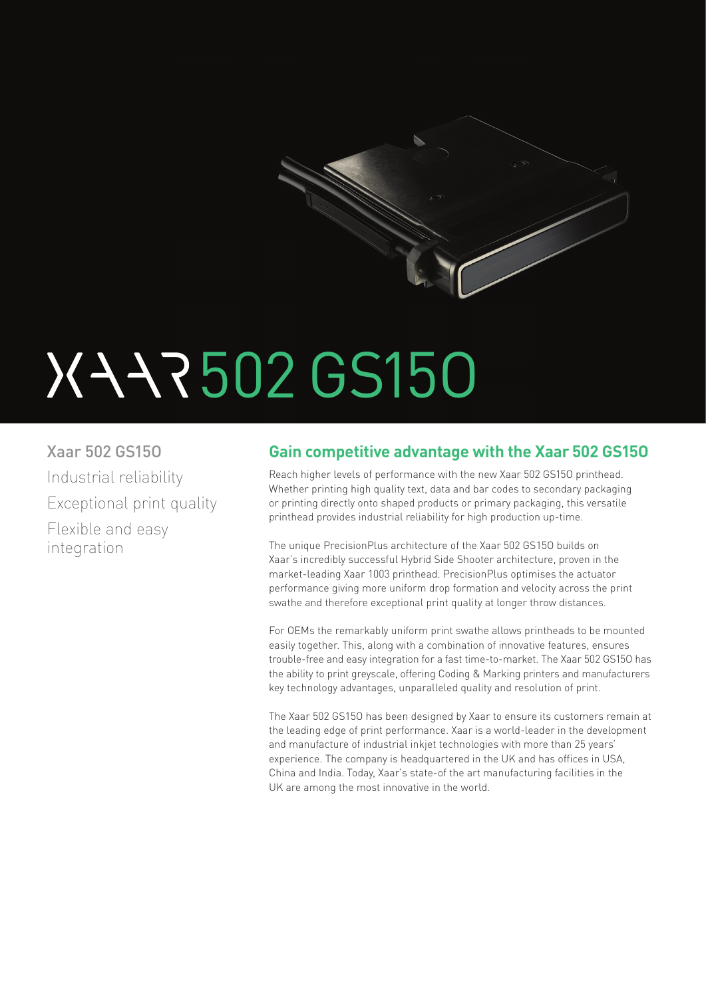

# 502 GS15O

Xaar 502 GS15O Industrial reliability Exceptional print quality Flexible and easy integration

## **Gain competitive advantage with the Xaar 502 GS15O**

Reach higher levels of performance with the new Xaar 502 GS15O printhead. Whether printing high quality text, data and bar codes to secondary packaging or printing directly onto shaped products or primary packaging, this versatile printhead provides industrial reliability for high production up-time.

The unique PrecisionPlus architecture of the Xaar 502 GS15O builds on Xaar's incredibly successful Hybrid Side Shooter architecture, proven in the market-leading Xaar 1003 printhead. PrecisionPlus optimises the actuator performance giving more uniform drop formation and velocity across the print swathe and therefore exceptional print quality at longer throw distances.

For OEMs the remarkably uniform print swathe allows printheads to be mounted easily together. This, along with a combination of innovative features, ensures trouble-free and easy integration for a fast time-to-market. The Xaar 502 GS15O has the ability to print greyscale, offering Coding & Marking printers and manufacturers key technology advantages, unparalleled quality and resolution of print.

The Xaar 502 GS15O has been designed by Xaar to ensure its customers remain at the leading edge of print performance. Xaar is a world-leader in the development and manufacture of industrial inkjet technologies with more than 25 years' experience. The company is headquartered in the UK and has offices in USA, China and India. Today, Xaar's state-of the art manufacturing facilities in the UK are among the most innovative in the world.